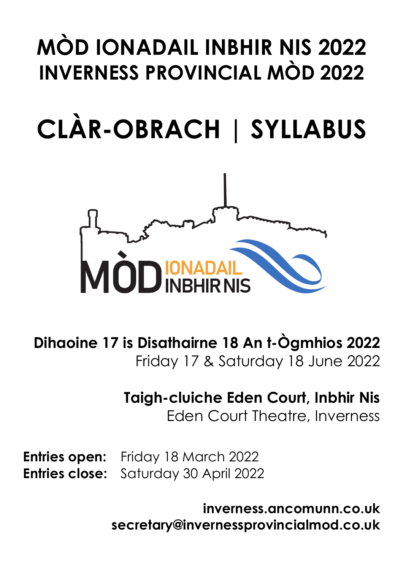# **MÒD IONADAIL INBHIR NIS 2022 INVERNESS PROVINCIAL MÒD 2022**

# **CLÀR-OBRACH | SYLLABUS**



**Dihaoine 17 is Disathairne 18 An t-Ògmhios 2022** Friday 17 & Saturday 18 June 2022

## **Taigh-cluiche Eden Court, Inbhir Nis** Eden Court Theatre, Inverness

**Entries open:** Friday 18 March 2022 **Entries close:** Saturday 30 April 2022

> **inverness.ancomunn.co.uk secretary@invernessprovincialmod.co.uk**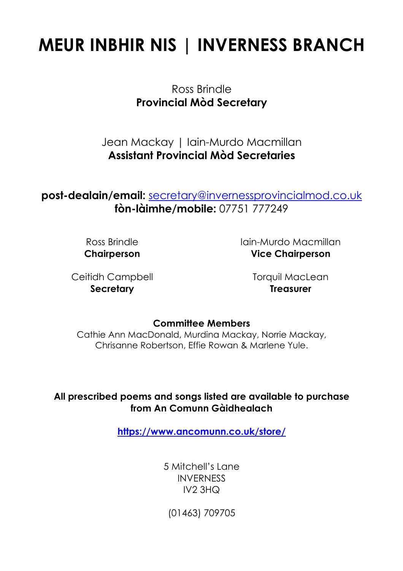## **MEUR INBHIR NIS | INVERNESS BRANCH**

Ross Brindle **Provincial Mòd Secretary**

Jean Mackay | Iain-Murdo Macmillan **Assistant Provincial Mòd Secretaries**

## **post-dealain/email:** secretary@invernessprovincialmod.co.uk **fòn-làimhe/mobile:** 07751 777249

Ross Brindle **Chairperson** Iain-Murdo Macmillan **Vice Chairperson**

Ceitidh Campbell **Secretary**

Torquil MacLean **Treasurer**

#### **Committee Members**

Cathie Ann MacDonald, Murdina Mackay, Norrie Mackay, Chrisanne Robertson, Effie Rowan & Marlene Yule.

#### **All prescribed poems and songs listed are available to purchase from An Comunn Gàidhealach**

**https://www.ancomunn.co.uk/store/**

5 Mitchell's Lane **INVERNESS** IV2 3HQ

(01463) 709705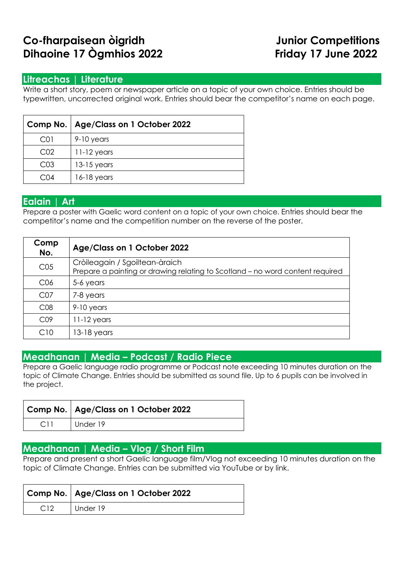## **Co-fharpaisean òigridh Junior Competitions Dihaoine 17 Ògmhios 2022 Friday 17 June 2022**

#### **Litreachas | Literature**

Write a short story, poem or newspaper article on a topic of your own choice. Entries should be typewritten, uncorrected original work. Entries should bear the competitor's name on each page.

|                  | Comp No.   Age/Class on 1 October 2022 |  |
|------------------|----------------------------------------|--|
| C <sub>0</sub> 1 | 9-10 years                             |  |
| CO <sub>2</sub>  | $11-12$ years                          |  |
| CO <sub>3</sub>  | $13-15$ years                          |  |
| ( `( )4          | $16-18$ years                          |  |

#### **Ealain | Art**

Prepare a poster with Gaelic word content on a topic of your own choice. Entries should bear the competitor's name and the competition number on the reverse of the poster.

| Comp<br>No.     | Age/Class on 1 October 2022                                                                                     |
|-----------------|-----------------------------------------------------------------------------------------------------------------|
| CO <sub>5</sub> | Cròileagain / Sgoiltean-àraich<br>Prepare a painting or drawing relating to Scotland - no word content required |
| C <sub>06</sub> | 5-6 years                                                                                                       |
| CO <sub>7</sub> | 7-8 years                                                                                                       |
| CO8             | $9-10$ years                                                                                                    |
| CO9             | $11-12$ years                                                                                                   |
| C10             | $13-18$ years                                                                                                   |

#### **Meadhanan | Media – Podcast / Radio Piece**

Prepare a Gaelic language radio programme or Podcast note exceeding 10 minutes duration on the topic of Climate Change. Entries should be submitted as sound file. Up to 6 pupils can be involved in the project.

| Comp No.   Age/Class on 1 October 2022 |
|----------------------------------------|
| Under 19                               |

#### **Meadhanan | Media – Vlog / Short Film**

Prepare and present a short Gaelic language film/Vlog not exceeding 10 minutes duration on the topic of Climate Change. Entries can be submitted via YouTube or by link.

|     | Comp No.   Age/Class on 1 October 2022 |  |
|-----|----------------------------------------|--|
| C12 | Under 19                               |  |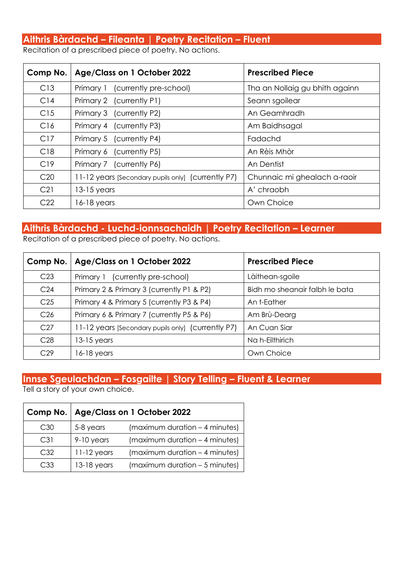## **Aithris Bàrdachd – Fileanta | Poetry Recitation – Fluent**

Recitation of a prescribed piece of poetry. No actions.

| Comp No.        | Age/Class on 1 October 2022                        | <b>Prescribed Piece</b>        |
|-----------------|----------------------------------------------------|--------------------------------|
| C13             | Primary 1 (currently pre-school)                   | Tha an Nollaig gu bhith againn |
| C <sub>14</sub> | Primary 2 (currently P1)                           | Seann sgoilear                 |
| C15             | Primary 3 (currently P2)                           | An Geamhradh                   |
| C16             | Primary 4 (currently P3)                           | Am Baidhsagal                  |
| C17             | Primary 5 (currently P4)                           | Fadachd                        |
| C18             | Primary 6 (currently P5)                           | An Rèis Mhòr                   |
| C19             | Primary 7 (currently P6)                           | An Dentist                     |
| C <sub>20</sub> | 11-12 years [Secondary pupils only] (currently P7) | Chunnaic mi ghealach a-raoir   |
| C21             | $13-15$ years                                      | A' chraobh                     |
| C <sub>22</sub> | $16-18$ years                                      | Own Choice                     |

## **Aithris Bàrdachd - Luchd-ionnsachaidh | Poetry Recitation – Learner**

Recitation of a prescribed piece of poetry. No actions.

| Comp No.        | Age/Class on 1 October 2022                        | <b>Prescribed Piece</b>        |
|-----------------|----------------------------------------------------|--------------------------------|
| C <sub>23</sub> | Primary 1 (currently pre-school)                   | Làithean-sgoile                |
| C <sub>24</sub> | Primary 2 & Primary 3 (currently P1 & P2)          | Bidh mo sheanair falbh le bata |
| C <sub>25</sub> | Primary 4 & Primary 5 (currently P3 & P4)          | An t-Eather                    |
| C <sub>26</sub> | Primary 6 & Primary 7 (currently P5 & P6)          | Am Brù-Dearg                   |
| C <sub>27</sub> | 11-12 years [Secondary pupils only] (currently P7) | An Cuan Siar                   |
| C <sub>28</sub> | 13-15 years                                        | Na h-Eilthirich                |
| C <sub>29</sub> | 16-18 years                                        | Own Choice                     |

## **Innse Sgeulachdan – Fosgailte | Story Telling – Fluent & Learner**

Tell a story of your own choice.

|     | Comp No.   Age/Class on 1 October 2022 |                                |
|-----|----------------------------------------|--------------------------------|
| C30 | 5-8 years                              | (maximum duration – 4 minutes) |
| C31 | 9-10 years                             | (maximum duration – 4 minutes) |
| C32 | $11-12$ years                          | (maximum duration - 4 minutes) |
| C33 | $13-18$ years                          | (maximum duration - 5 minutes) |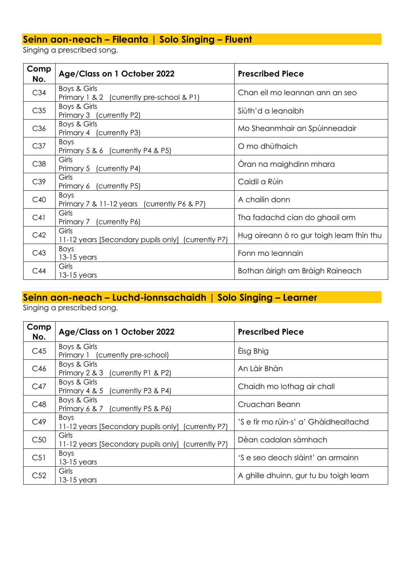### **Seinn aon-neach – Fileanta | Solo Singing – Fluent**

Singing a prescribed song.

| Comp<br>No. | Age/Class on 1 October 2022                                 | <b>Prescribed Piece</b>                  |
|-------------|-------------------------------------------------------------|------------------------------------------|
| C34         | Boys & Girls<br>Primary 1 & 2 (currently pre-school & P1)   | Chan eil mo leannan ann an seo           |
| C35         | Boys & Girls<br>Primary 3 (currently P2)                    | Siùth'd a leanaibh                       |
| C36         | Boys & Girls<br>Primary 4 (currently P3)                    | Mo Sheanmhair an Spùinneadair            |
| C37         | Boys<br>Primary 5 & 6 (currently P4 & P5)                   | O mo dhùthaich                           |
| C38         | Girls<br>Primary 5 (currently P4)                           | Oran na maighdinn mhara                  |
| C39         | Girls<br>Primary 6 (currently P5)                           | Caidil a Rùin                            |
| C40         | <b>Boys</b><br>Primary 7 & 11-12 years (currently P6 & P7)  | A chailin donn                           |
| C41         | Girls<br>Primary 7 (currently P6)                           | Tha fadachd cian do ghaoil orm           |
| C42         | Girls<br>11-12 years [Secondary pupils only] (currently P7) | Hug oireann ò ro gur toigh leam fhìn thu |
| C43         | Boys<br>$13-15$ years                                       | Fonn mo leannain                         |
| C44         | Girls<br>$13-15$ years                                      | Bothan àirigh am Bràigh Raineach         |

## **Seinn aon-neach – Luchd-ionnsachaidh | Solo Singing – Learner**

Singing a prescribed song.

| Comp<br>No.     | Age/Class on 1 October 2022                                       | <b>Prescribed Piece</b>               |
|-----------------|-------------------------------------------------------------------|---------------------------------------|
| C45             | Boys & Girls<br>Primary 1 (currently pre-school)                  | Èisg Bhig                             |
| C46             | Boys & Girls<br>Primary 2 & 3<br>(currently P1 & P2)              | An Làir Bhàn                          |
| C47             | Boys & Girls<br>Primary 4 & 5<br>(currently P3 & P4)              | Chaidh mo lothag air chall            |
| C48             | Boys & Girls<br>Primary 6 & 7 (currently P5 & P6)                 | Cruachan Beann                        |
| C49             | <b>Boys</b><br>11-12 years [Secondary pupils only] (currently P7) | 'S e tìr mo rùin-s' a' Ghàidhealtachd |
| C50             | Girls<br>11-12 years [Secondary pupils only] (currently P7)       | Dèan cadalan sàmhach                  |
| C <sub>51</sub> | <b>Boys</b><br>$13-15$ years                                      | 'S e seo deoch slàint' an armainn     |
| C52             | Girls<br>$13-15$ years                                            | A ghille dhuinn, gur tu bu toigh leam |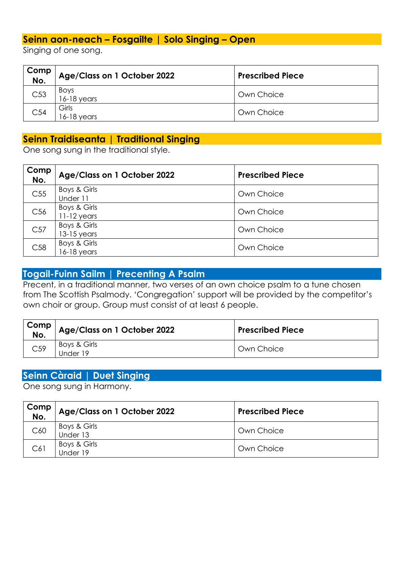#### **Seinn aon-neach – Fosgailte | Solo Singing – Open**

Singing of one song.

| Comp<br>No.     | Age/Class on 1 October 2022  | <b>Prescribed Piece</b> |
|-----------------|------------------------------|-------------------------|
| C53             | <b>Boys</b><br>$16-18$ years | Own Choice              |
| C <sub>54</sub> | Girls<br>16-18 vears         | Own Choice              |

#### **Seinn Traidiseanta | Traditional Singing**

One song sung in the traditional style.

| Comp<br>No.     | Age/Class on 1 October 2022   | <b>Prescribed Piece</b> |
|-----------------|-------------------------------|-------------------------|
| C <sub>55</sub> | Boys & Girls<br>Under 11      | Own Choice              |
| C56             | Boys & Girls<br>$11-12$ years | Own Choice              |
| C57             | Boys & Girls<br>$13-15$ years | Own Choice              |
| C58             | Boys & Girls<br>$16-18$ years | Own Choice              |

#### **Togail-Fuinn Sailm | Precenting A Psalm**

Precent, in a traditional manner, two verses of an own choice psalm to a tune chosen from The Scottish Psalmody. 'Congregation' support will be provided by the competitor's own choir or group. Group must consist of at least 6 people.

| Comp<br>No.     | Age/Class on 1 October 2022 | <b>Prescribed Piece</b> |
|-----------------|-----------------------------|-------------------------|
| C <sub>59</sub> | Boys & Girls<br>Jnder 19    | Own Choice              |

#### **Seinn Càraid | Duet Singing**

One song sung in Harmony.

| Comp<br>No. | Age/Class on 1 October 2022 | <b>Prescribed Piece</b> |
|-------------|-----------------------------|-------------------------|
| C60         | Boys & Girls<br>Under 13    | Own Choice              |
| C61         | Boys & Girls<br>Under 19    | Own Choice              |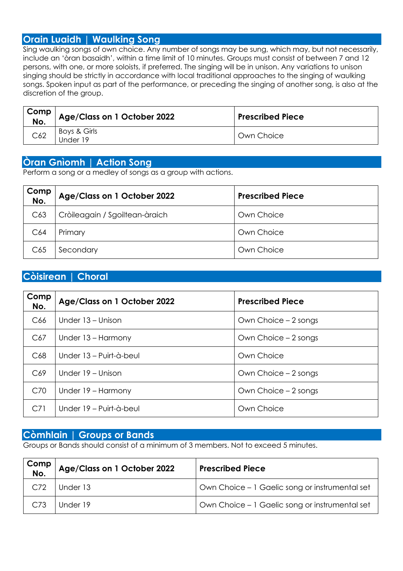#### **Orain Luaidh | Waulking Song**

Sing waulking songs of own choice. Any number of songs may be sung, which may, but not necessarily, include an 'òran basaidh', within a time limit of 10 minutes. Groups must consist of between 7 and 12 persons, with one, or more soloists, if preferred. The singing will be in unison. Any variations to unison singing should be strictly in accordance with local traditional approaches to the singing of waulking songs. Spoken input as part of the performance, or preceding the singing of another song, is also at the discretion of the group.

| Comp<br>$No$ . | Age/Class on 1 October 2022 | <b>Prescribed Piece</b> |
|----------------|-----------------------------|-------------------------|
| C62            | Boys & Girls<br>Jnder 19    | Own Choice              |

#### **Òran Gnìomh | Action Song**

Perform a song or a medley of songs as a group with actions.

| Comp<br>No. | Age/Class on 1 October 2022    | <b>Prescribed Piece</b> |
|-------------|--------------------------------|-------------------------|
| C63         | Cròileagain / Sgoiltean-àraich | Own Choice              |
| C64         | Primary                        | Own Choice              |
| C65         | Secondary                      | Own Choice              |

#### **Còisirean | Choral**

| Comp<br>No.     | Age/Class on 1 October 2022 | <b>Prescribed Piece</b> |
|-----------------|-----------------------------|-------------------------|
| C <sub>66</sub> | Under 13 – Unison           | Own Choice – 2 songs    |
| C67             | Under 13 – Harmony          | Own Choice – 2 songs    |
| C <sub>68</sub> | Under 13 – Puirt-à-beul     | Own Choice              |
| C69             | Under 19 – Unison           | Own Choice – 2 songs    |
| C70             | Under 19 - Harmony          | Own Choice – 2 songs    |
| C <sub>71</sub> | Under 19 – Puirt-à-beul     | Own Choice              |

#### **Còmhlain | Groups or Bands**

Groups or Bands should consist of a minimum of 3 members. Not to exceed 5 minutes.

| Comp<br>No.     | Age/Class on 1 October 2022 | <b>Prescribed Piece</b>                        |
|-----------------|-----------------------------|------------------------------------------------|
| C.72            | Under 13                    | Own Choice – 1 Gaelic song or instrumental set |
| C <sub>73</sub> | Under 19                    | Own Choice - 1 Gaelic song or instrumental set |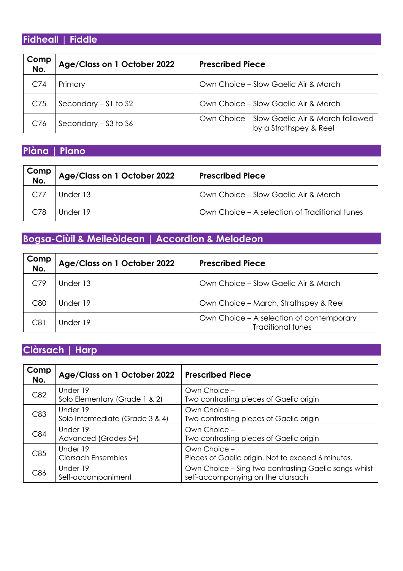## **Fidheall | Fiddle**

| Comp<br>No.     | Age/Class on 1 October 2022 | <b>Prescribed Piece</b>                                                 |
|-----------------|-----------------------------|-------------------------------------------------------------------------|
| C <sub>74</sub> | Primary                     | Own Choice – Slow Gaelic Air & March                                    |
| C75             | Secondary $-51$ to S2       | Own Choice - Slow Gaelic Air & March                                    |
| C76             | Secondary $-$ S3 to S6      | Own Choice - Slow Gaelic Air & March followed<br>by a Strathspey & Reel |

### **Piàna | Piano**

| Comp<br>No. | Age/Class on 1 October 2022 | <b>Prescribed Piece</b>                       |
|-------------|-----------------------------|-----------------------------------------------|
| C.77        | Under 13                    | Own Choice - Slow Gaelic Air & March          |
| C.78        | Under 19                    | Own Choice – A selection of Traditional tunes |

## **Bogsa-Ciùil & Meileòidean | Accordion & Melodeon**

| Comp<br>No. | Age/Class on 1 October 2022 | <b>Prescribed Piece</b>                                              |
|-------------|-----------------------------|----------------------------------------------------------------------|
| C79         | Under 13                    | Own Choice – Slow Gaelic Air & March                                 |
| C80         | Under 19                    | Own Choice - March, Strathspey & Reel                                |
| C81         | Under 19                    | Own Choice – A selection of contemporary<br><b>Traditional tunes</b> |

## **Clàrsach | Harp**

| Comp<br>No. | Age/Class on 1 October 2022                 | <b>Prescribed Piece</b>                                                                    |
|-------------|---------------------------------------------|--------------------------------------------------------------------------------------------|
| C82         | Under 19<br>Solo Elementary (Grade 1 & 2)   | Own Choice -<br>Two contrasting pieces of Gaelic origin                                    |
| C83         | Under 19<br>Solo Intermediate (Grade 3 & 4) | Own Choice -<br>Two contrasting pieces of Gaelic origin                                    |
| C84         | Under 19<br>Advanced (Grades 5+)            | Own Choice -<br>Two contrasting pieces of Gaelic origin                                    |
| C85         | Under 19<br><b>Clarsach Ensembles</b>       | Own Choice -<br>Pieces of Gaelic origin. Not to exceed 6 minutes.                          |
| C86         | Under 19<br>Self-accompaniment              | Own Choice - Sing two contrasting Gaelic songs whilst<br>self-accompanying on the clarsach |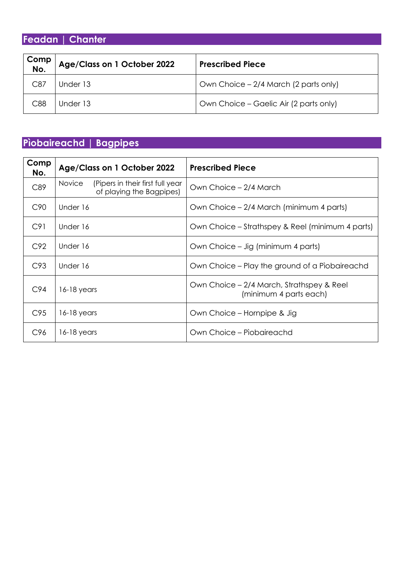**Feadan | Chanter**

| Comp<br>No. | Age/Class on 1 October 2022 | <b>Prescribed Piece</b>                |
|-------------|-----------------------------|----------------------------------------|
| C87         | Under 13                    | Own Choice – 2/4 March (2 parts only)  |
| C88         | Under 13                    | Own Choice – Gaelic Air (2 parts only) |

## **Pìobaireachd | Bagpipes**

| Comp<br>No.     | Age/Class on 1 October 2022                                                   | <b>Prescribed Piece</b>                                             |
|-----------------|-------------------------------------------------------------------------------|---------------------------------------------------------------------|
| C89             | <b>Novice</b><br>(Pipers in their first full year<br>of playing the Bagpipes) | Own Choice – 2/4 March                                              |
| C <sub>90</sub> | Under 16                                                                      | Own Choice – 2/4 March (minimum 4 parts)                            |
| C91             | Under 16                                                                      | Own Choice – Strathspey & Reel (minimum 4 parts)                    |
| C92             | Under 16                                                                      | Own Choice – Jig (minimum 4 parts)                                  |
| C93             | Under 16                                                                      | Own Choice – Play the ground of a Piobaireachd                      |
| C94             | 16-18 years                                                                   | Own Choice – 2/4 March, Strathspey & Reel<br>(minimum 4 parts each) |
| C95             | 16-18 years                                                                   | Own Choice – Hornpipe & Jig                                         |
| C <sub>96</sub> | 16-18 years                                                                   | Own Choice – Piobaireachd                                           |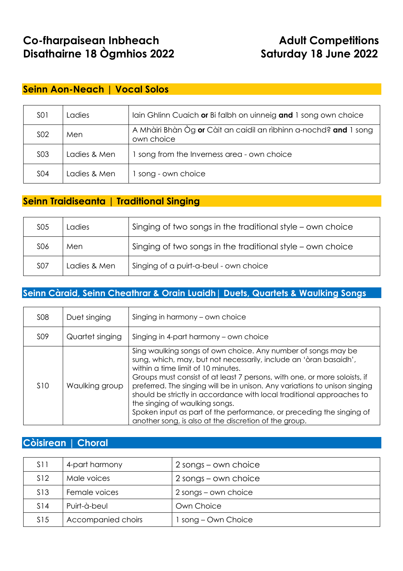## **Co-fharpaisean Inbheach Manual Adult Competitions Disathairne 18 Ògmhios 2022 Saturday 18 June 2022**

#### **Seinn Aon-Neach | Vocal Solos**

| <b>SO1</b> | Ladies       | lain Ghlinn Cuaich or Bi falbh on uinneig and 1 song own choice                 |
|------------|--------------|---------------------------------------------------------------------------------|
| <b>SO2</b> | Men          | A Mhàiri Bhàn Òg or Càit an caidil an rìbhinn a-nochd? and 1 song<br>own choice |
| <b>SO3</b> | Ladies & Men | song from the Inverness area - own choice                                       |
| <b>SO4</b> | Ladies & Men | song - own choice                                                               |

#### **Seinn Traidiseanta | Traditional Singing**

| <b>SO5</b> | Ladies       | Singing of two songs in the traditional style - own choice |  |
|------------|--------------|------------------------------------------------------------|--|
| <b>SO6</b> | Men          | Singing of two songs in the traditional style - own choice |  |
| <b>SO7</b> | Ladies & Men | Singing of a puirt-a-beul - own choice                     |  |

#### **Seinn Càraid, Seinn Cheathrar & Orain Luaidh| Duets, Quartets & Waulking Songs**

| <b>SO8</b>      | Duet singing    | Singing in harmony - own choice                                                                                                                                                                                                                                                                                                                                                                                                                                                                                                                                                 |  |
|-----------------|-----------------|---------------------------------------------------------------------------------------------------------------------------------------------------------------------------------------------------------------------------------------------------------------------------------------------------------------------------------------------------------------------------------------------------------------------------------------------------------------------------------------------------------------------------------------------------------------------------------|--|
| <b>SO9</b>      | Quartet singing | Singing in 4-part harmony - own choice                                                                                                                                                                                                                                                                                                                                                                                                                                                                                                                                          |  |
| S <sub>10</sub> | Waulking group  | Sing waulking songs of own choice. Any number of songs may be<br>sung, which, may, but not necessarily, include an 'òran basaidh',<br>within a time limit of 10 minutes.<br>Groups must consist of at least 7 persons, with one, or more soloists, if<br>preferred. The singing will be in unison. Any variations to unison singing<br>should be strictly in accordance with local traditional approaches to<br>the singing of waulking songs.<br>Spoken input as part of the performance, or preceding the singing of<br>another song, is also at the discretion of the group. |  |

#### **Còisirean | Choral**

| S <sub>11</sub> | 4-part harmony     | 2 songs – own choice |
|-----------------|--------------------|----------------------|
| S <sub>12</sub> | Male voices        | 2 songs – own choice |
| S <sub>13</sub> | Female voices      | 2 songs – own choice |
| S14             | Puirt-à-beul       | Own Choice           |
| S <sub>15</sub> | Accompanied choirs | song – Own Choice    |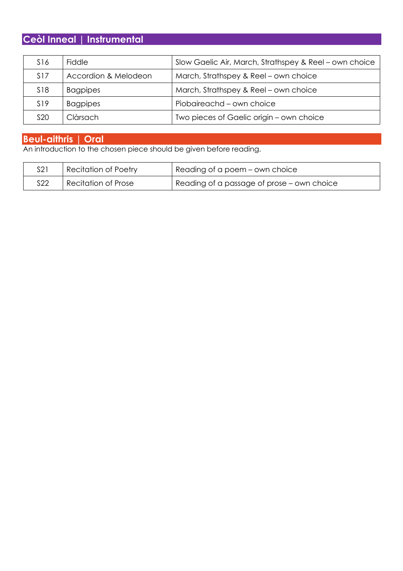## **Ceòl Inneal | Instrumental**

| S16             | Fiddle               | Slow Gaelic Air, March, Strathspey & Reel – own choice |
|-----------------|----------------------|--------------------------------------------------------|
| S <sub>17</sub> | Accordion & Melodeon | March, Strathspey & Reel - own choice                  |
| S <sub>18</sub> | <b>Bagpipes</b>      | March, Strathspey & Reel - own choice                  |
| S <sub>19</sub> | <b>Bagpipes</b>      | Piobaireachd – own choice                              |
| <b>S20</b>      | Clàrsach             | Two pieces of Gaelic origin - own choice               |

#### **Beul-aithris | Oral**

An introduction to the chosen piece should be given before reading.

| S21        | <b>Recitation of Poetry</b> | Reading of a poem – own choice             |
|------------|-----------------------------|--------------------------------------------|
| <b>S22</b> | <b>Recitation of Prose</b>  | Reading of a passage of prose - own choice |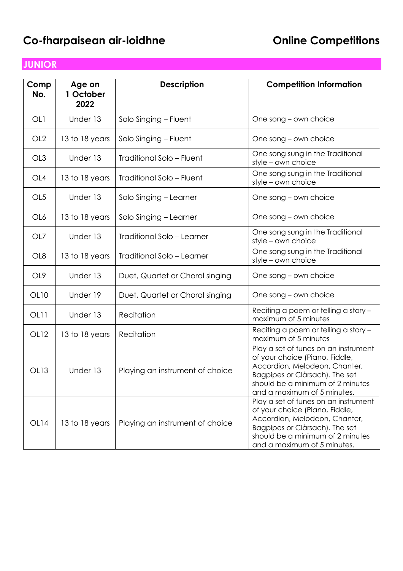## **Co-fharpaisean air-loidhne Co-fharpaisean air-loidhne**

## **JUNIOR**

| Comp<br>No.      | Age on<br>1 October<br>2022 | <b>Description</b>               | <b>Competition Information</b>                                                                                                                                                                               |
|------------------|-----------------------------|----------------------------------|--------------------------------------------------------------------------------------------------------------------------------------------------------------------------------------------------------------|
| OL1              | Under 13                    | Solo Singing - Fluent            | One song – own choice                                                                                                                                                                                        |
| OL <sub>2</sub>  | 13 to 18 years              | Solo Singing - Fluent            | One song – own choice                                                                                                                                                                                        |
| OL3              | Under 13                    | Traditional Solo - Fluent        | One song sung in the Traditional<br>style - own choice                                                                                                                                                       |
| OL4              | 13 to 18 years              | <b>Traditional Solo - Fluent</b> | One song sung in the Traditional<br>style - own choice                                                                                                                                                       |
| OL <sub>5</sub>  | Under 13                    | Solo Singing - Learner           | One song – own choice                                                                                                                                                                                        |
| OL6              | 13 to 18 years              | Solo Singing - Learner           | One song – own choice                                                                                                                                                                                        |
| OL7              | Under 13                    | Traditional Solo - Learner       | One song sung in the Traditional<br>style - own choice                                                                                                                                                       |
| OL <sub>8</sub>  | 13 to 18 years              | Traditional Solo - Learner       | One song sung in the Traditional<br>style - own choice                                                                                                                                                       |
| OL <sub>9</sub>  | Under 13                    | Duet, Quartet or Choral singing  | One song – own choice                                                                                                                                                                                        |
| OL10             | Under 19                    | Duet, Quartet or Choral singing  | One song – own choice                                                                                                                                                                                        |
| OL <sub>11</sub> | Under 13                    | Recitation                       | Reciting a poem or telling a story -<br>maximum of 5 minutes                                                                                                                                                 |
| <b>OL12</b>      | 13 to 18 years              | Recitation                       | Reciting a poem or telling a story -<br>maximum of 5 minutes                                                                                                                                                 |
| <b>OL13</b>      | Under 13                    | Playing an instrument of choice  | Play a set of tunes on an instrument<br>of your choice (Piano, Fiddle,<br>Accordion, Melodeon, Chanter,<br>Bagpipes or Clàrsach). The set<br>should be a minimum of 2 minutes<br>and a maximum of 5 minutes. |
| OL14             | 13 to 18 years              | Playing an instrument of choice  | Play a set of tunes on an instrument<br>of your choice (Piano, Fiddle,<br>Accordion, Melodeon, Chanter,<br>Bagpipes or Clàrsach). The set<br>should be a minimum of 2 minutes<br>and a maximum of 5 minutes. |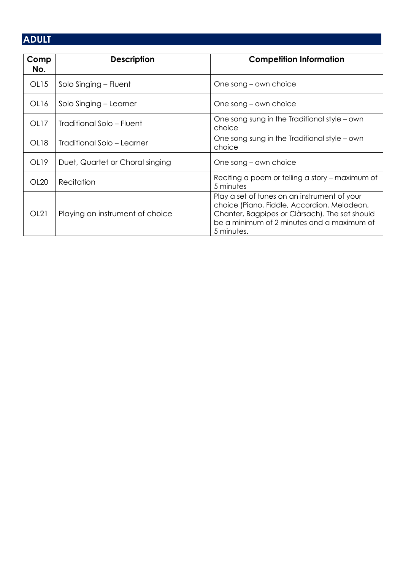## **ADULT**

| Comp<br>No.      | <b>Description</b>              | <b>Competition Information</b>                                                                                                                                                                            |
|------------------|---------------------------------|-----------------------------------------------------------------------------------------------------------------------------------------------------------------------------------------------------------|
| OL15             | Solo Singing – Fluent           | One song – own choice                                                                                                                                                                                     |
| OL <sub>16</sub> | Solo Singing - Learner          | One song – own choice                                                                                                                                                                                     |
| OL17             | Traditional Solo - Fluent       | One song sung in the Traditional style – own<br>choice                                                                                                                                                    |
| OL18             | Traditional Solo – Learner      | One song sung in the Traditional style – own<br>choice                                                                                                                                                    |
| OL <sub>19</sub> | Duet, Quartet or Choral singing | One song – own choice                                                                                                                                                                                     |
| OL20             | Recitation                      | Reciting a poem or telling a story – maximum of<br>5 minutes                                                                                                                                              |
| OL21             | Playing an instrument of choice | Play a set of tunes on an instrument of your<br>choice (Piano, Fiddle, Accordion, Melodeon,<br>Chanter, Bagpipes or Clàrsach). The set should<br>be a minimum of 2 minutes and a maximum of<br>5 minutes. |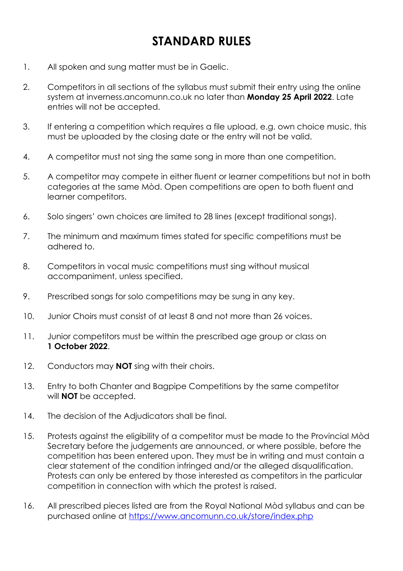## **STANDARD RULES**

- 1. All spoken and sung matter must be in Gaelic.
- 2. Competitors in all sections of the syllabus must submit their entry using the online system at inverness.ancomunn.co.uk no later than **Monday 25 April 2022**. Late entries will not be accepted.
- 3. If entering a competition which requires a file upload, e.g. own choice music, this must be uploaded by the closing date or the entry will not be valid.
- 4. A competitor must not sing the same song in more than one competition.
- 5. A competitor may compete in either fluent or learner competitions but not in both categories at the same Mòd. Open competitions are open to both fluent and learner competitors.
- 6. Solo singers' own choices are limited to 28 lines (except traditional songs).
- 7. The minimum and maximum times stated for specific competitions must be adhered to.
- 8. Competitors in vocal music competitions must sing without musical accompaniment, unless specified.
- 9. Prescribed songs for solo competitions may be sung in any key.
- 10. Junior Choirs must consist of at least 8 and not more than 26 voices.
- 11. Junior competitors must be within the prescribed age group or class on **1 October 2022**.
- 12. Conductors may **NOT** sing with their choirs.
- 13. Entry to both Chanter and Bagpipe Competitions by the same competitor will **NOT** be accepted.
- 14. The decision of the Adjudicators shall be final.
- 15. Protests against the eligibility of a competitor must be made to the Provincial Mòd Secretary before the judgements are announced, or where possible, before the competition has been entered upon. They must be in writing and must contain a clear statement of the condition infringed and/or the alleged disqualification. Protests can only be entered by those interested as competitors in the particular competition in connection with which the protest is raised.
- 16. All prescribed pieces listed are from the Royal National Mòd syllabus and can be purchased online at https://www.ancomunn.co.uk/store/index.php